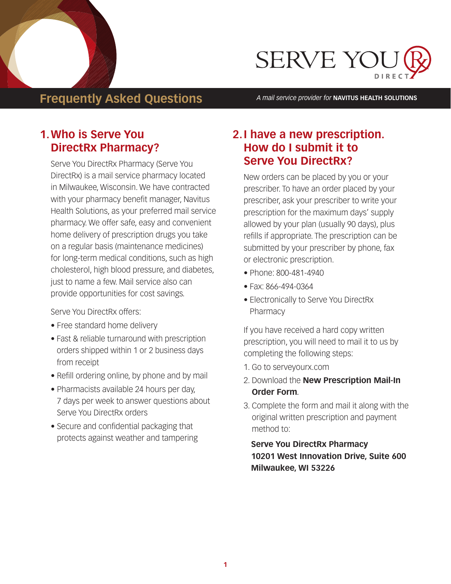

## **Frequently Asked Questions** *A mail service provider for* **NAVITUS HEALTH SOLUTIONS**

### **1.Who is Serve You DirectRx Pharmacy?**

Serve You DirectRx Pharmacy (Serve You DirectRx) is a mail service pharmacy located in Milwaukee, Wisconsin. We have contracted with your pharmacy benefit manager, Navitus Health Solutions, as your preferred mail service pharmacy. We offer safe, easy and convenient home delivery of prescription drugs you take on a regular basis (maintenance medicines) for long-term medical conditions, such as high cholesterol, high blood pressure, and diabetes, just to name a few. Mail service also can provide opportunities for cost savings.

Serve You DirectRx offers:

- Free standard home delivery
- Fast & reliable turnaround with prescription orders shipped within 1 or 2 business days from receipt
- Refill ordering online, by phone and by mail
- Pharmacists available 24 hours per day, 7 days per week to answer questions about Serve You DirectRx orders
- Secure and confidential packaging that protects against weather and tampering

## **2.I have a new prescription. How do I submit it to Serve You DirectRx?**

New orders can be placed by you or your prescriber. To have an order placed by your prescriber, ask your prescriber to write your prescription for the maximum days' supply allowed by your plan (usually 90 days), plus refills if appropriate. The prescription can be submitted by your prescriber by phone, fax or electronic prescription.

- Phone: 800-481-4940
- Fax: 866-494-0364
- Electronically to Serve You DirectRx Pharmacy

If you have received a hard copy written prescription, you will need to mail it to us by completing the following steps:

- 1. Go to serveyourx.com
- 2. Download the **New Prescription Mail-In Order Form***.*
- 3. Complete the form and mail it along with the original written prescription and payment method to:

 **Serve You DirectRx Pharmacy 10201 West Innovation Drive, Suite 600 Milwaukee, WI 53226**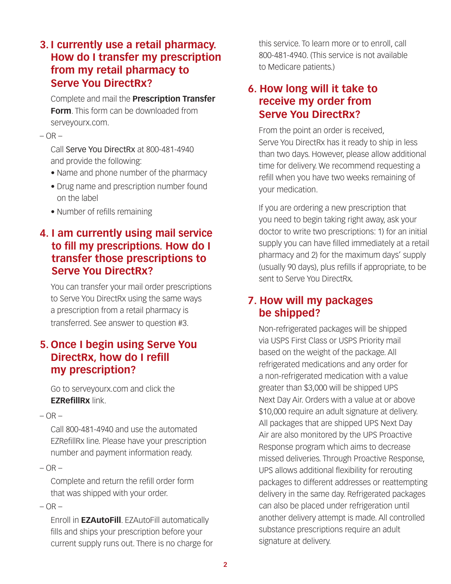**3. I currently use a retail pharmacy. How do I transfer my prescription from my retail pharmacy to Serve You DirectRx?** 

Complete and mail the **Prescription Transfer Form**. This form can be downloaded from serveyourx.com.

#### $-$  OR  $-$

Call Serve You DirectRx at 800-481-4940 and provide the following:

- Name and phone number of the pharmacy
- Drug name and prescription number found on the label
- Number of refills remaining

#### **4. I am currently using mail service to fill my prescriptions. How do I transfer those prescriptions to Serve You DirectRx?**

You can transfer your mail order prescriptions to Serve You DirectRx using the same ways a prescription from a retail pharmacy is transferred. See answer to question #3.

#### **5. Once I begin using Serve You DirectRx, how do I refill my prescription?**

Go to serveyourx.com and click the **EZRefillRx** link.

 $-$  OR  $-$ 

Call 800-481-4940 and use the automated EZRefillRx line. Please have your prescription number and payment information ready.

 $-$  OR  $-$ 

Complete and return the refill order form that was shipped with your order.

 $-$  OR  $-$ 

Enroll in **EZAutoFill**. EZAutoFill automatically fills and ships your prescription before your current supply runs out. There is no charge for this service. To learn more or to enroll, call 800-481-4940. (This service is not available to Medicare patients.)

### **6. How long will it take to receive my order from Serve You DirectRx?**

From the point an order is received, Serve You DirectRx has it ready to ship in less than two days. However, please allow additional time for delivery. We recommend requesting a refill when you have two weeks remaining of your medication.

If you are ordering a new prescription that you need to begin taking right away, ask your doctor to write two prescriptions: 1) for an initial supply you can have filled immediately at a retail pharmacy and 2) for the maximum days' supply (usually 90 days), plus refills if appropriate, to be sent to Serve You DirectRx*.*

#### **7. How will my packages be shipped?**

Non-refrigerated packages will be shipped via USPS First Class or USPS Priority mail based on the weight of the package. All refrigerated medications and any order for a non-refrigerated medication with a value greater than \$3,000 will be shipped UPS Next Day Air. Orders with a value at or above \$10,000 require an adult signature at delivery. All packages that are shipped UPS Next Day Air are also monitored by the UPS Proactive Response program which aims to decrease missed deliveries. Through Proactive Response, UPS allows additional flexibility for rerouting packages to different addresses or reattempting delivery in the same day. Refrigerated packages can also be placed under refrigeration until another delivery attempt is made. All controlled substance prescriptions require an adult signature at delivery.